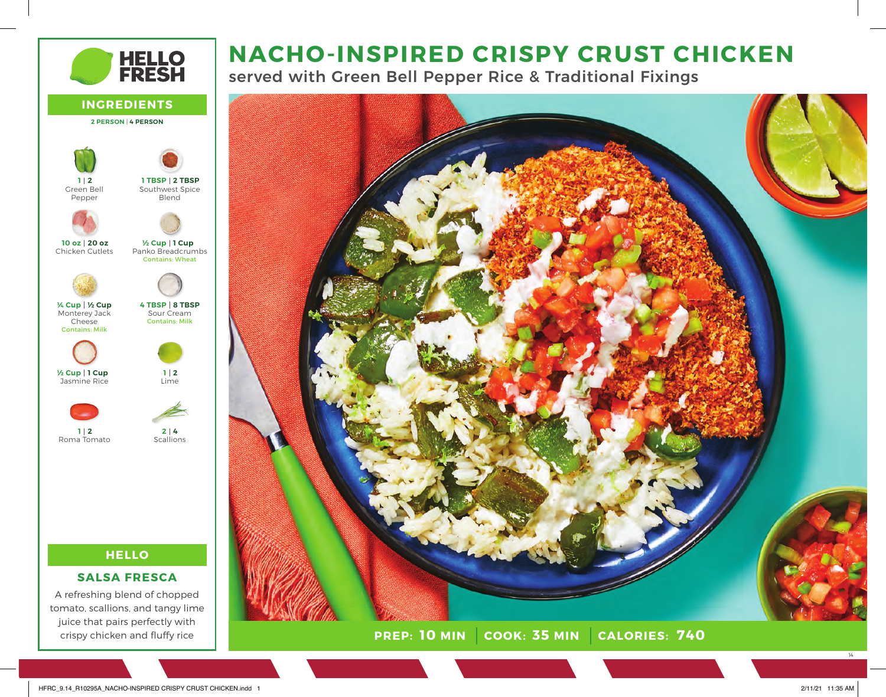# **NACHO-INSPIRED CRISPY CRUST CHICKEN**

**HELLO<br>FRESH** 

served with Green Bell Pepper Rice & Traditional Fixings



**INGREDIENTS 2 PERSON** | **4 PERSON HELLO** Green Bell Pepper Chicken Cutlets Monterey Jack Cheese Contains: Milk Jasmine Rice Roma Tomato Southwest Spice Blend Panko Breadcrumbs Contains: Wheat Sour Cream Contains: Milk Lime **Scallions 2 TBSP 1 TBSP 1 Cup ½ Cup 8 TBSP 4 TBSP 2 1 4 2 2 1 20 oz 10 oz ½ Cup ¼ Cup 1 Cup ½ Cup 2 1**

# **SALSA FRESCA**

A refreshing blend of chopped tomato, scallions, and tangy lime juice that pairs perfectly with crispy chicken and fluffy rice

14